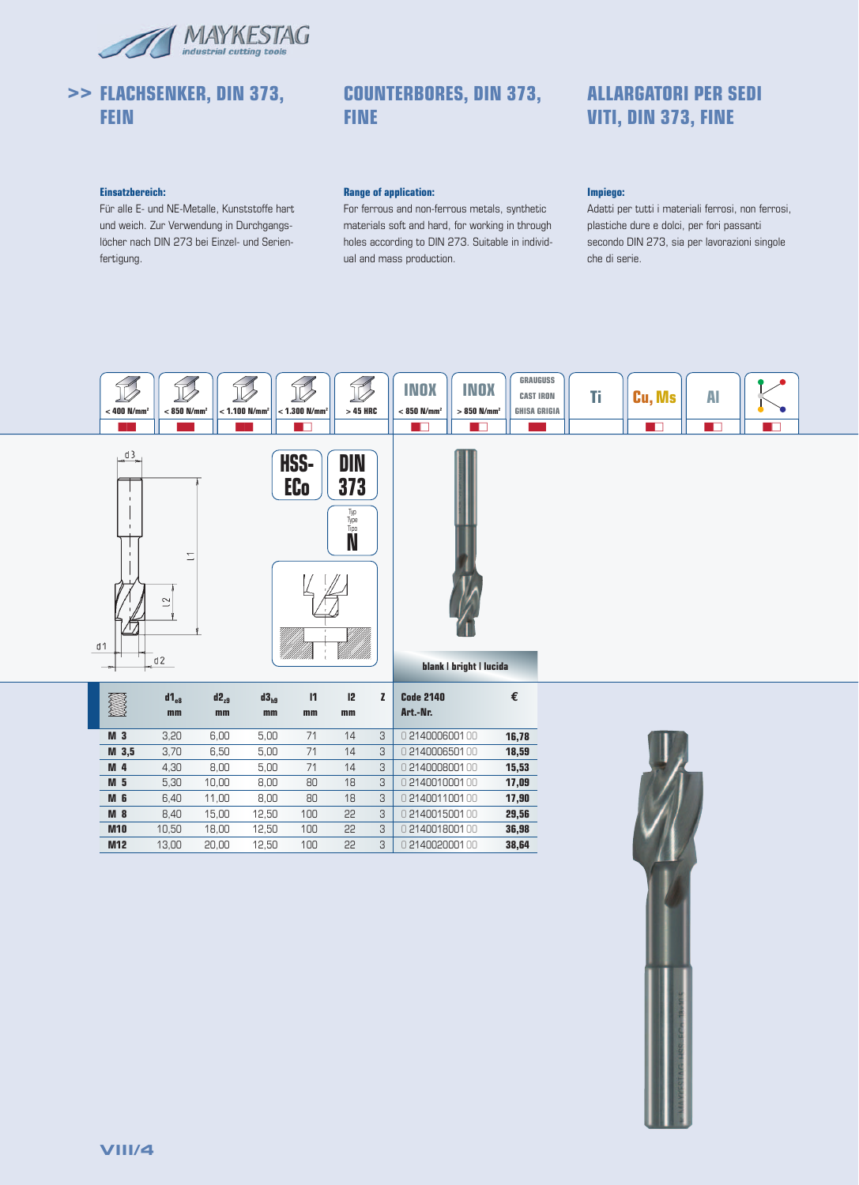

# **>> FLACHSENKER, DIN 373, FEIN**

# **COUNTERBORES, DIN 373, FINE**

# **ALLARGATORI PER SEDI VITI, DIN 373, FINE**

## **Einsatzbereich:**

Für alle E- und NE-Metalle, Kunststoffe hart und weich. Zur Verwendung in Durchgangslöcher nach DIN 273 bei Einzel- und Serienfertigung.

## **Range of application:**

For ferrous and non-ferrous metals, synthetic materials soft and hard, for working in through holes according to DIN 273. Suitable in individual and mass production.

## **Impiego:**

Adatti per tutti i materiali ferrosi, non ferrosi, plastiche dure e dolci, per fori passanti secondo DIN 273, sia per lavorazioni singole che di serie.









## **blank | bright | lucida**

| Z                | $d1_{\alpha}$<br>mm | $d2_{29}$<br>mm | $d3_{h9}$<br>mm | $\mathbf{I}$<br>mm | 12<br>mm |   | <b>Code 2140</b><br>Art.-Nr. | €     |
|------------------|---------------------|-----------------|-----------------|--------------------|----------|---|------------------------------|-------|
| M <sub>3</sub>   | 3,20                | 6,00            | 5,00            | 71                 | 14       | 3 | 0214000600100                | 16,78 |
| M <sub>3,5</sub> | 3,70                | 6,50            | 5,00            | 71                 | 14       | 3 | 0214000650100                | 18,59 |
| M <sub>4</sub>   | 4,30                | 8,00            | 5,00            | 71                 | 14       | 3 | 0214000800100                | 15,53 |
| M <sub>5</sub>   | 5,30                | 10.00           | 8,00            | 80                 | 18       | 3 | 0214001000100                | 17,09 |
| M <sub>6</sub>   | 6.40                | 11.00           | 8,00            | 80                 | 18       | 3 | 0214001100100                | 17,90 |
| M <sub>8</sub>   | 8.40                | 15.00           | 12,50           | 100                | 22       | 3 | 0214001500100                | 29,56 |
| <b>M10</b>       | 10.50               | 18.00           | 12.50           | 100                | 22       | 3 | 0214001800100                | 36,98 |
| M <sub>12</sub>  | 13.00               | 20.00           | 12.50           | 100                | 22       | 3 | 0214002000100                | 38.64 |

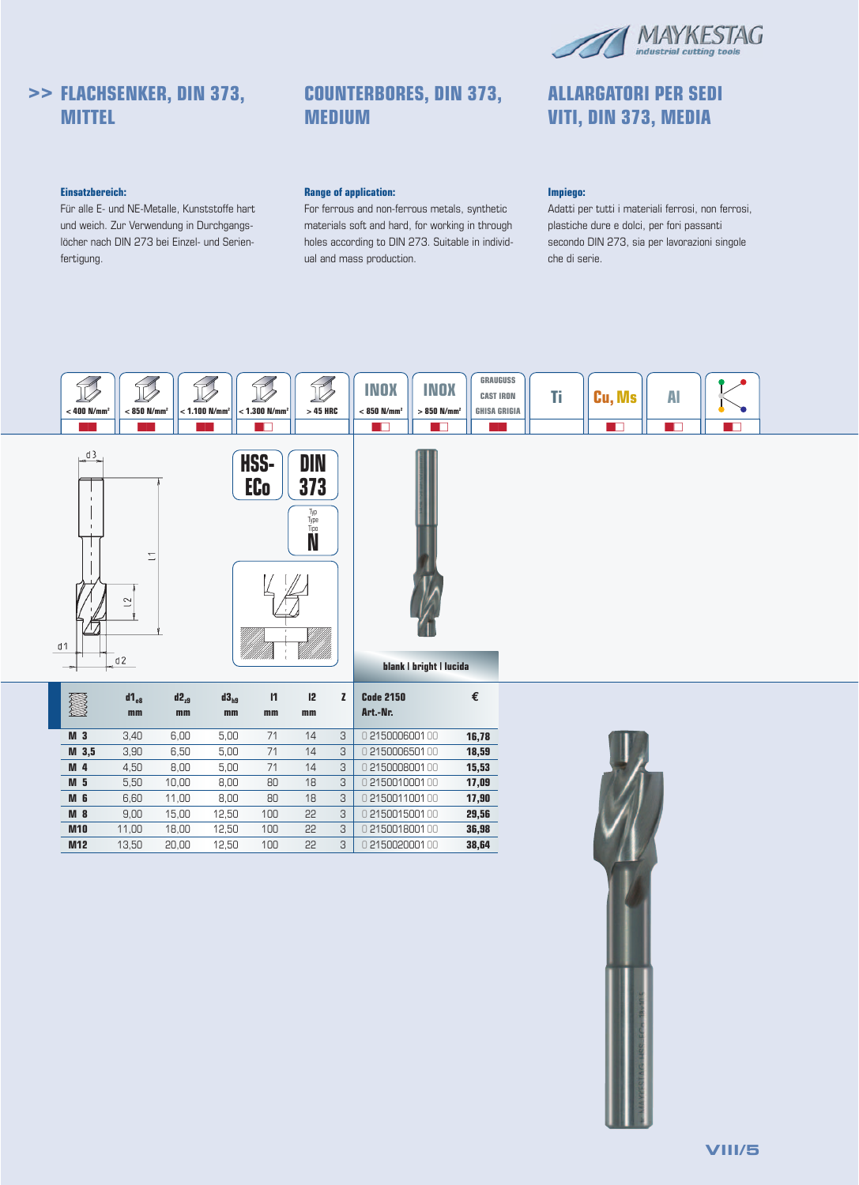

**ALLARGATORI PER SEDI VITI, DIN 373, MEDIA**

# **>> FLACHSENKER, DIN 373, MITTEL**

## **Einsatzbereich:**

Für alle E- und NE-Metalle, Kunststoffe hart und weich. Zur Verwendung in Durchgangslöcher nach DIN 273 bei Einzel- und Serienfertigung.

# **COUNTERBORES, DIN 373, MEDIUM**

## **Range of application:**

For ferrous and non-ferrous metals, synthetic materials soft and hard, for working in through holes according to DIN 273. Suitable in individual and mass production.

## **Impiego:**

Adatti per tutti i materiali ferrosi, non ferrosi, plastiche dure e dolci, per fori passanti secondo DIN 273, sia per lavorazioni singole che di serie.

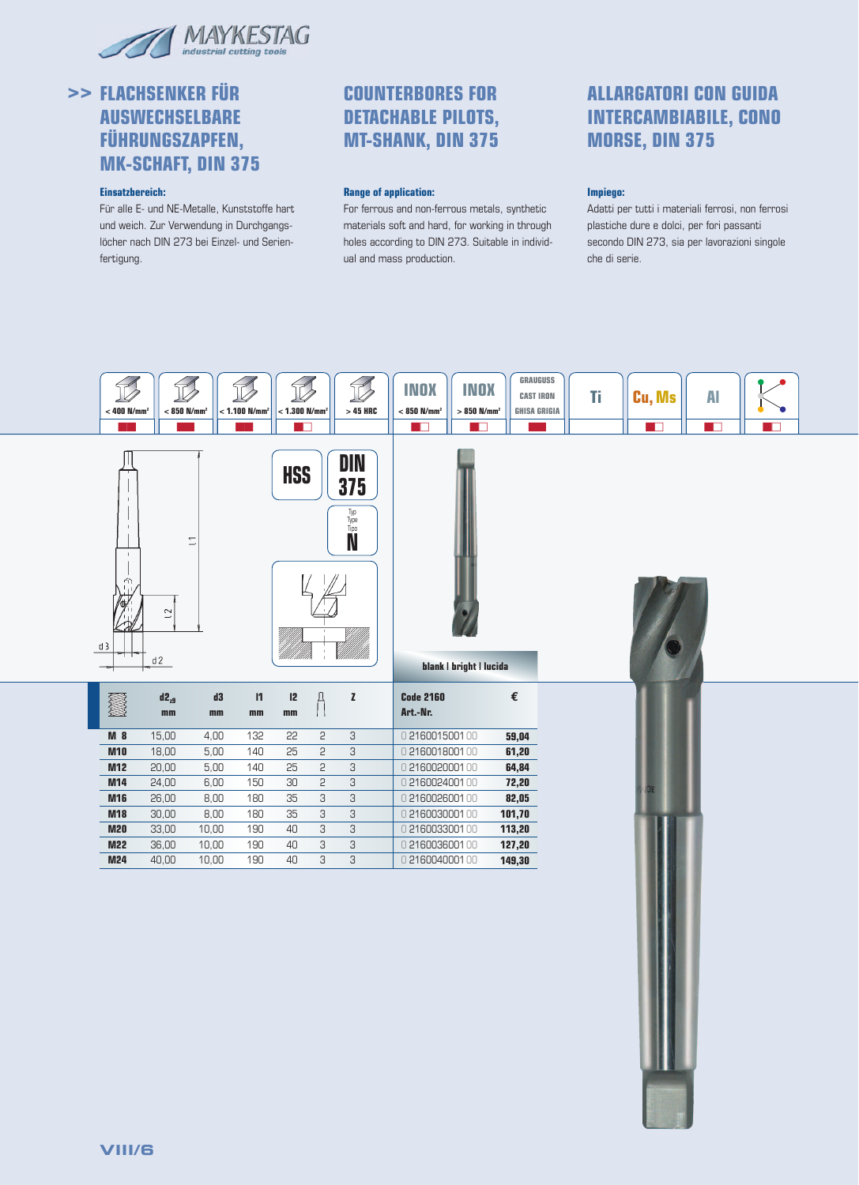

# **>> FLACHSENKER FÜR AUSWECHSELBARE FÜHRUNGSZAPFEN, MK-SCHAFT, DIN 375**

## **Einsatzbereich:**

Für alle E- und NE-Metalle, Kunststoffe hart und weich. Zur Verwendung in Durchgangslöcher nach DIN 273 bei Einzel- und Serienfertigung.

# **COUNTERBORES FOR DETACHABLE PILOTS, MT-SHANK, DIN 375**

#### **Range of application:**

For ferrous and non-ferrous metals, synthetic materials soft and hard, for working in through holes according to DIN 273. Suitable in individual and mass production.

# **ALLARGATORI CON GUIDA INTERCAMBIABILE, CONO MORSE, DIN 375**

## **Impiego:**

Adatti per tutti i materiali ferrosi, non ferrosi plastiche dure e dolci, per fori passanti secondo DIN 273, sia per lavorazioni singole che di serie.

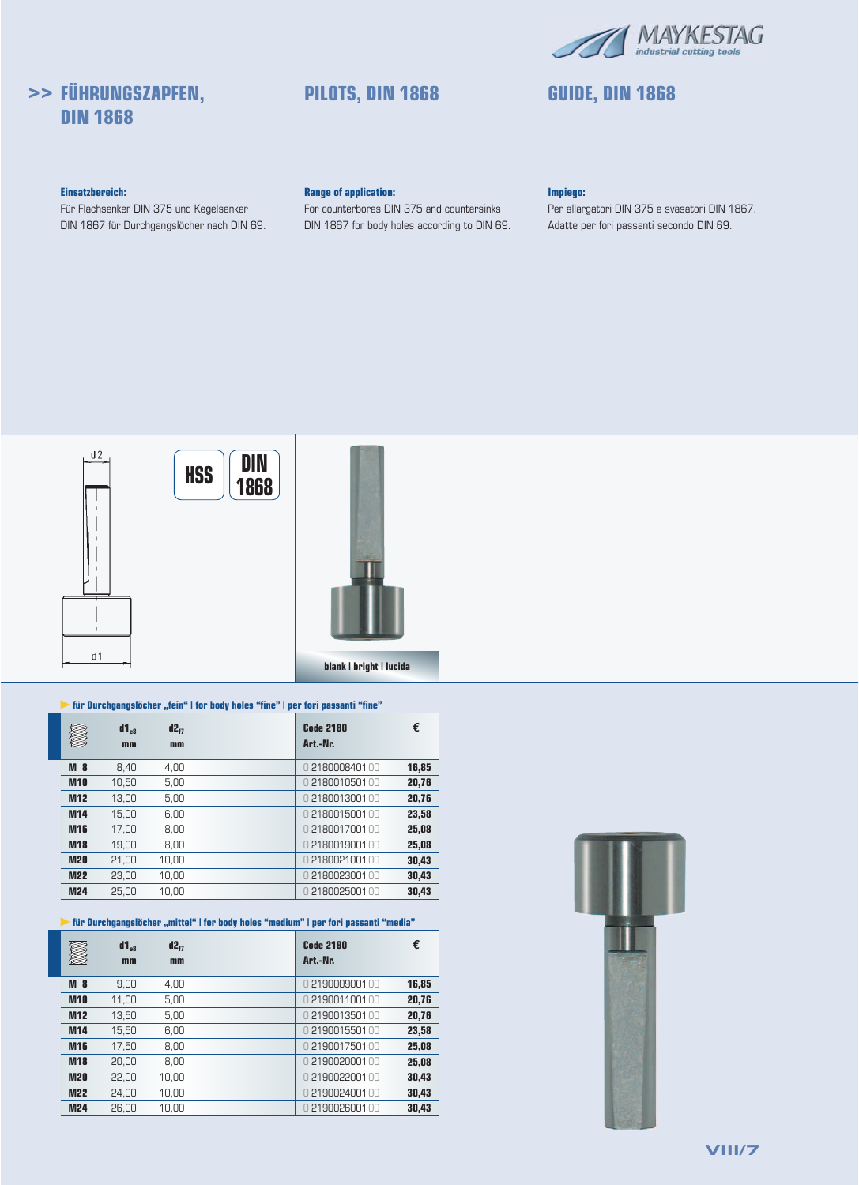

# **>> FÜHRUNGSZAPFEN, DIN 1868**

# **PILOTS, DIN 1868 GUIDE, DIN 1868**

## **Einsatzbereich:**

Für Flachsenker DIN 375 und Kegelsenker DIN 1867 für Durchgangslöcher nach DIN 69.

## **Range of application:**

For counterbores DIN 375 and countersinks DIN 1867 for body holes according to DIN 69.

#### **Impiego:**

Per allargatori DIN 375 e svasatori DIN 1867. Adatte per fori passanti secondo DIN 69.



## **für Durchgangslöcher "fein" | for body holes "fine" | per fori passanti "fine"**

|                | $d1_{\alpha}$<br>mm | $d2_{f7}$<br>mm | <b>Code 2180</b><br>Art.-Nr. | €     |
|----------------|---------------------|-----------------|------------------------------|-------|
| M <sub>8</sub> | 8.40                | 4.00            | 0218000840100                | 16,85 |
| <b>M10</b>     | 10,50               | 5,00            | 0218001050100                | 20,76 |
| <b>M12</b>     | 13.00               | 5,00            | 0218001300100                | 20,76 |
| M14            | 15,00               | 6,00            | 0 218001500100               | 23,58 |
| <b>M16</b>     | 17.00               | 8,00            | 0218001700100                | 25,08 |
| <b>M18</b>     | 19.00               | 8.00            | 0218001900100                | 25,08 |
| <b>M20</b>     | 21,00               | 10.00           | 0218002100100                | 30,43 |
| <b>M22</b>     | 23.00               | 10.00           | 0218002300100                | 30,43 |
| <b>M24</b>     | 25.00               | 10.00           | 0218002500100                | 30.43 |

## **für Durchgangslöcher "mittel" | for body holes "medium" | per fori passanti "media"**

|                 | $d1_{\alpha}$ | $d2_{i7}$ | <b>Code 2190</b> | €     |
|-----------------|---------------|-----------|------------------|-------|
|                 | mm            | mm        | Art.-Nr.         |       |
| <b>M</b> 8      | 9,00          | 4,00      | 0219000900100    | 16,85 |
| <b>M10</b>      | 11.00         | 5.00      | 0219001100100    | 20,76 |
| <b>M12</b>      | 13.50         | 5.00      | 0219001350100    | 20,76 |
| M <sub>14</sub> | 15.50         | 6.00      | 0219001550100    | 23,58 |
| <b>M16</b>      | 17.50         | 8.00      | 0219001750100    | 25,08 |
| <b>M18</b>      | 20.00         | 8.00      | 0219002000100    | 25,08 |
| <b>M20</b>      | 22.00         | 10.00     | 0219002200100    | 30.43 |
| <b>M22</b>      | 24.00         | 10.00     | 0219002400100    | 30,43 |
| <b>M24</b>      | 26.00         | 10.00     | 0219002600100    | 30.43 |

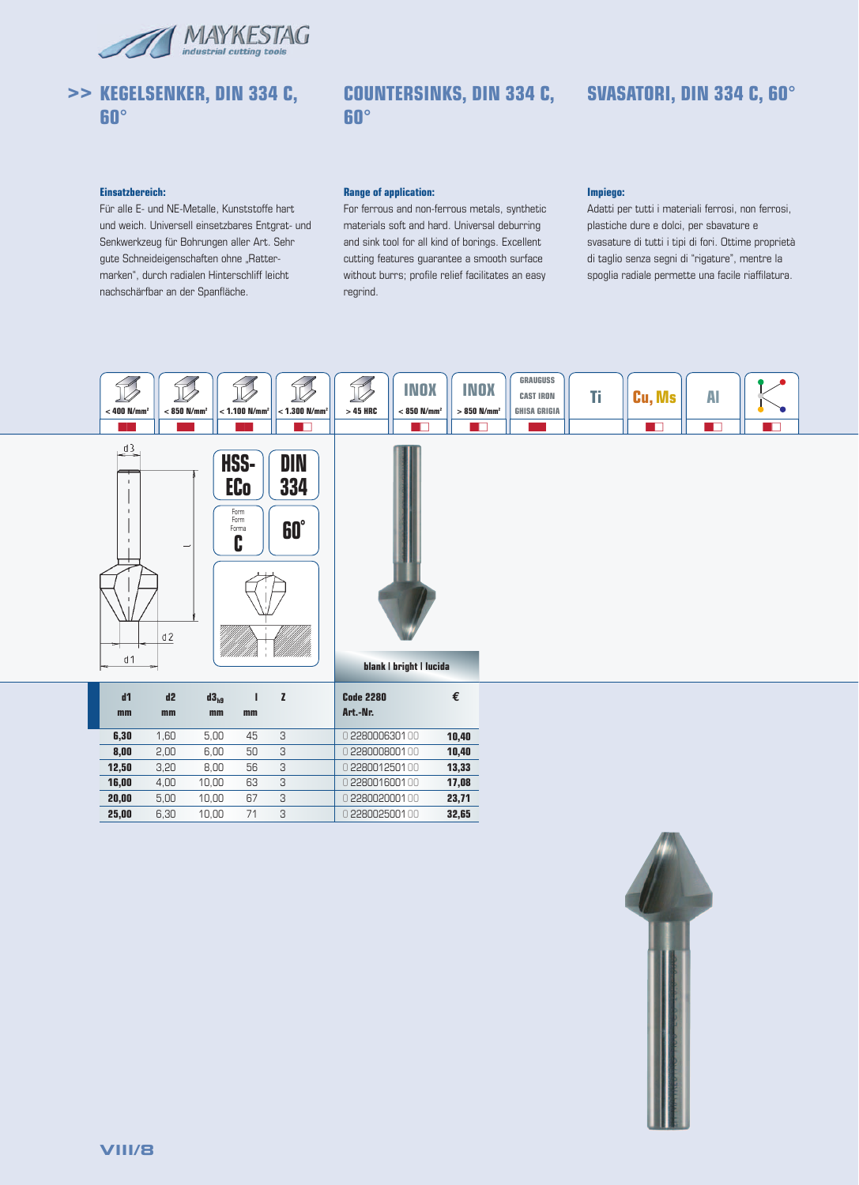



# **COUNTERSINKS, DIN 334 C, SVASATORI, DIN 334 C, 60° 60°**

## **Einsatzbereich:**

Für alle E- und NE-Metalle, Kunststoffe hart und weich. Universell einsetzbares Entgrat- und Senkwerkzeug für Bohrungen aller Art. Sehr gute Schneideigenschaften ohne "Rattermarken", durch radialen Hinterschliff leicht nachschärfbar an der Spanfläche.

#### **Range of application:**

For ferrous and non-ferrous metals, synthetic materials soft and hard. Universal deburring and sink tool for all kind of borings. Excellent cutting features guarantee a smooth surface without burrs; profile relief facilitates an easy regrind.

## **Impiego:**



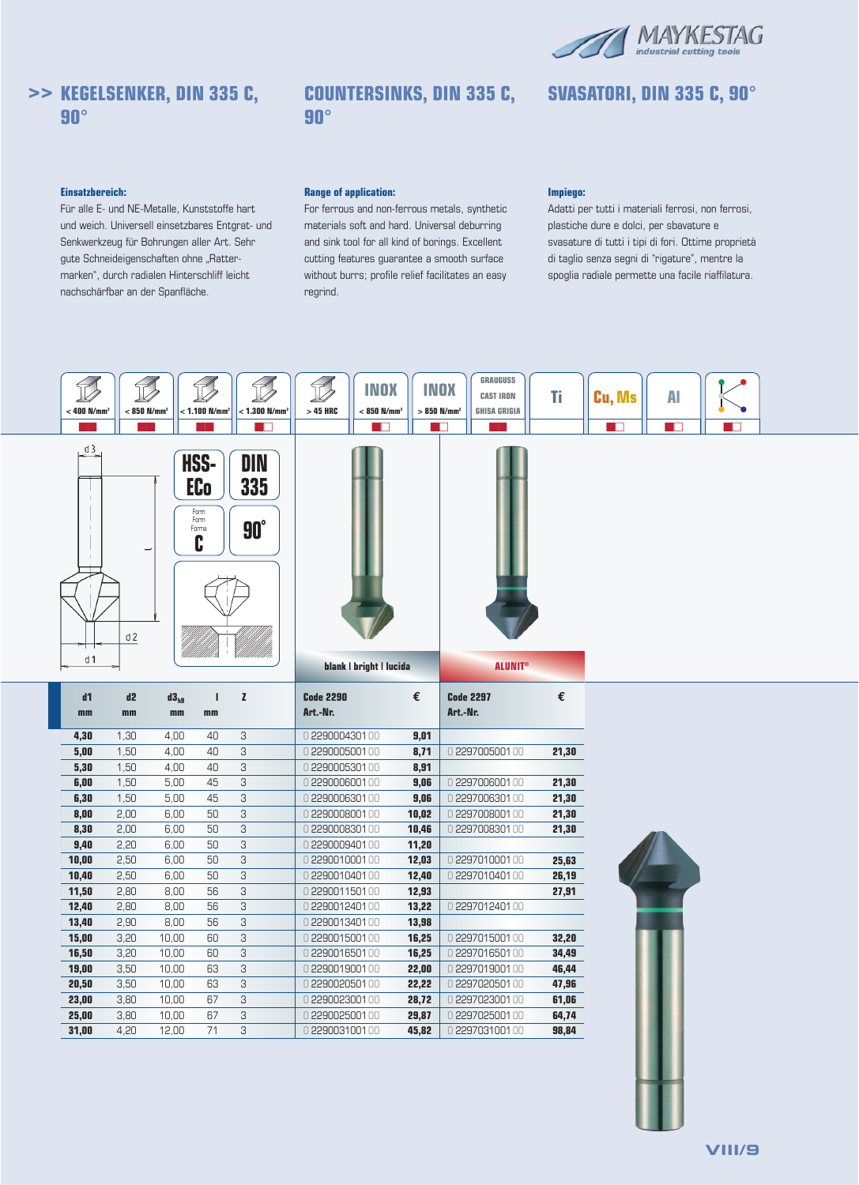

**SVASATORI, DIN 335 C, 90°**

# **>> KEGELSENKER, DIN 335 C, 90°**

# **COUNTERSINKS, DIN 335 C, 90°**

#### **Einsatzbereich:**

Für alle E- und NE-Metalle, Kunststoffe hart und weich. Universell einsetzbares Entgrat- und Senkwerkzeug für Bohrungen aller Art. Sehr gute Schneideigenschaften ohne "Rattermarken", durch radialen Hinterschliff leicht nachschärfbar an der Spanfläche.

#### **Range of application:**

For ferrous and non-ferrous metals, synthetic materials soft and hard. Universal deburring and sink tool for all kind of borings. Excellent cutting features guarantee a smooth surface without burrs; profile relief facilitates an easy regrind.

#### **Impiego:**

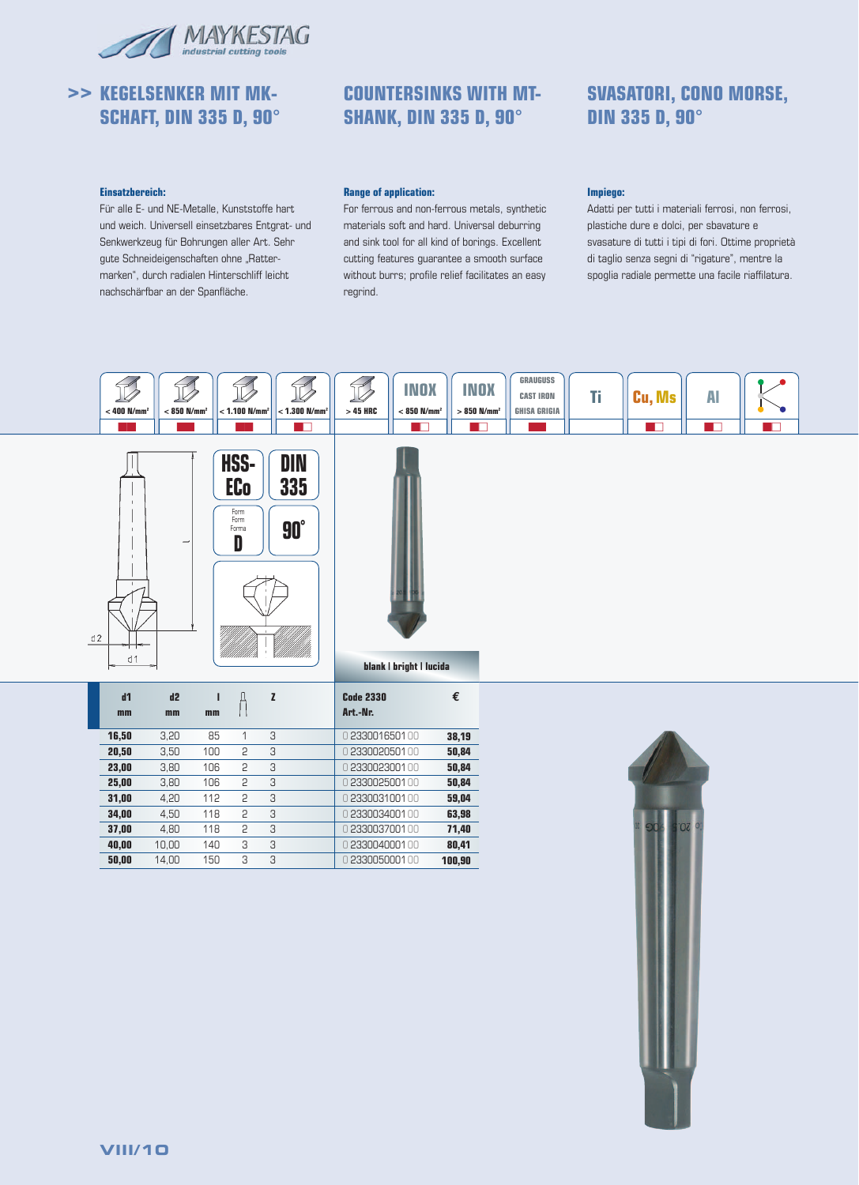

# **>> KEGELSENKER MIT MK-SCHAFT, DIN 335 D, 90°**

# **COUNTERSINKS WITH MT-SHANK, DIN 335 D, 90°**

# **SVASATORI, CONO MORSE, DIN 335 D, 90°**

#### **Einsatzbereich:**

Für alle E- und NE-Metalle, Kunststoffe hart und weich. Universell einsetzbares Entgrat- und Senkwerkzeug für Bohrungen aller Art. Sehr gute Schneideigenschaften ohne "Rattermarken", durch radialen Hinterschliff leicht nachschärfbar an der Spanfläche.

## **Range of application:**

For ferrous and non-ferrous metals, synthetic materials soft and hard. Universal deburring and sink tool for all kind of borings. Excellent cutting features guarantee a smooth surface without burrs; profile relief facilitates an easy regrind.

## **Impiego:**